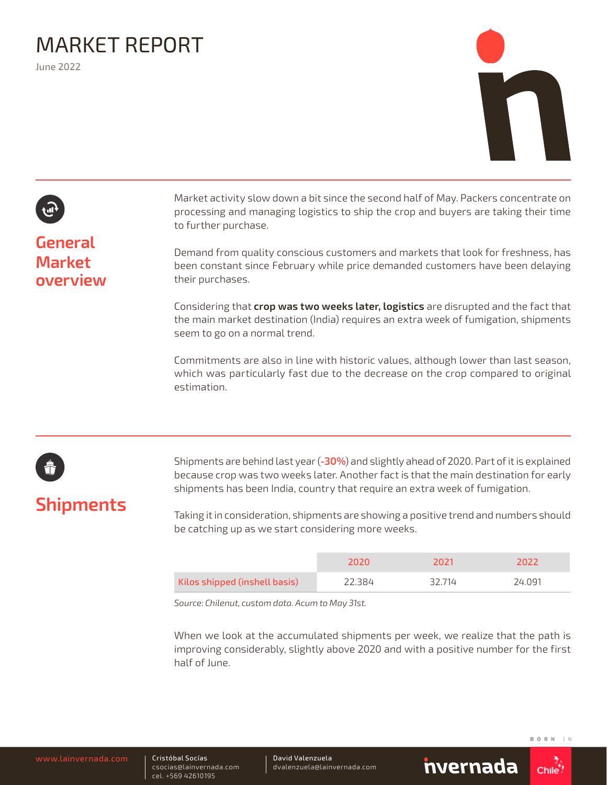# MARKET REPORT

June 2022



### **General Market overview**

Market activity slow down a bit since the second half of May. Packers concentrate on processing and managing logistics to ship the crop and buyers are taking their time to further purchase.

Demand from quality conscious customers and markets that look for freshness, has been constant since February while price demanded customers have been delaying their purchases.

Considering that **crop was two weeks later, logistics** are disrupted and the fact that the main market destination (India) requires an extra week of fumigation, shipments seem to go on a normal trend.

Commitments are also in line with historic values, although lower than last season, which was particularly fast due to the decrease on the crop compared to original estimation.

## **Shipments**

Shipments are behind last year (**-30%**) and slightly ahead of 2020. Part of it is explained because crop was two weeks later. Another fact is that the main destination for early shipments has been India, country that require an extra week of fumigation.

Taking it in consideration, shipments are showing a positive trend and numbers should be catching up as we start considering more weeks.

|                               | 2020   | 7071   | フロフラ   |
|-------------------------------|--------|--------|--------|
| Kilos shipped (inshell basis) | 22.384 | 32.714 | 24.091 |

*Source: Chilenut, custom data. Acum to May 31st.*

When we look at the accumulated shipments per week, we realize that the path is improving considerably, slightly above 2020 and with a positive number for the first half of June.

Cristóbal Socías csocias@lainvernada.com cel. +569 42610195

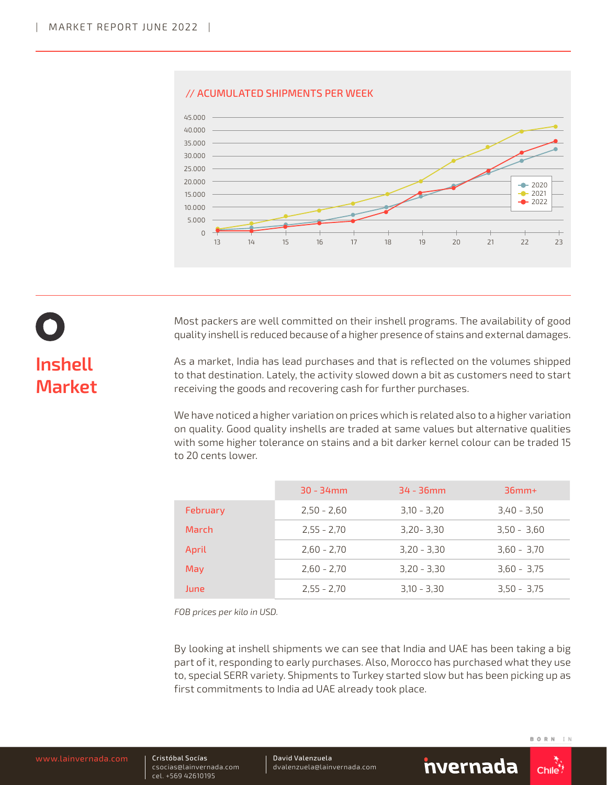

#### // ACUMULATED SHIPMENTS PER WEEK



Most packers are well committed on their inshell programs. The availability of good quality inshell is reduced because of a higher presence of stains and external damages.

As a market, India has lead purchases and that is reflected on the volumes shipped to that destination. Lately, the activity slowed down a bit as customers need to start receiving the goods and recovering cash for further purchases.

We have noticed a higher variation on prices which is related also to a higher variation on quality. Good quality inshells are traded at same values but alternative qualities with some higher tolerance on stains and a bit darker kernel colour can be traded 15 to 20 cents lower.

|          | $30 - 34$ mm  | $34 - 36$ mm  | $36mm+$       |
|----------|---------------|---------------|---------------|
| February | $2,50 - 2,60$ | $3,10 - 3,20$ | $3,40 - 3,50$ |
| March    | $2,55 - 2,70$ | $3,20 - 3,30$ | $3,50 - 3,60$ |
| April    | $2,60 - 2,70$ | $3,20 - 3,30$ | $3,60 - 3,70$ |
| May      | $2,60 - 2,70$ | $3,20 - 3,30$ | $3,60 - 3,75$ |
| June     | $2,55 - 2,70$ | $3,10 - 3,30$ | $3,50 - 3,75$ |

*FOB prices per kilo in USD.*

By looking at inshell shipments we can see that India and UAE has been taking a big part of it, responding to early purchases. Also, Morocco has purchased what they use to, special SERR variety. Shipments to Turkey started slow but has been picking up as first commitments to India ad UAE already took place.

Cristóbal Socías csocias@lainvernada.com cel. +569 42610195

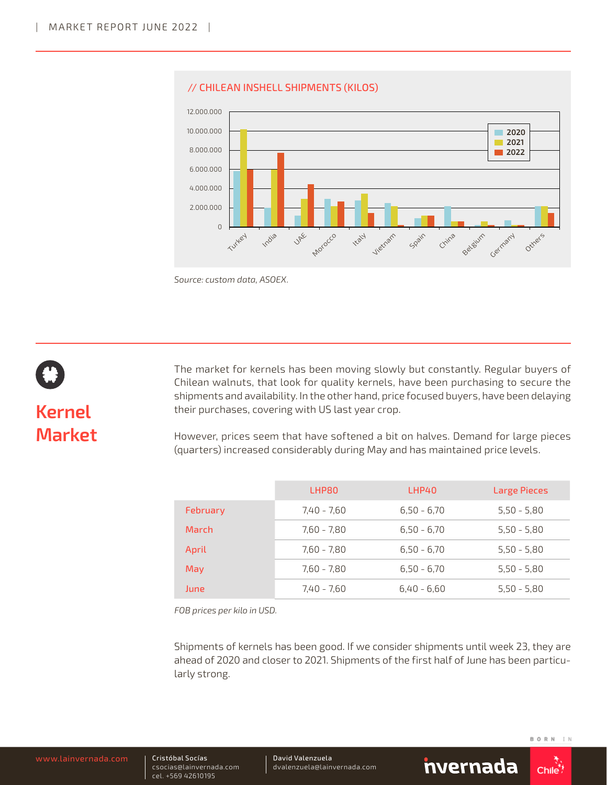

#### // CHILEAN INSHELL SHIPMENTS (KILOS)

*Source: custom data, ASOEX.* 



# **Kernel Market**

The market for kernels has been moving slowly but constantly. Regular buyers of Chilean walnuts, that look for quality kernels, have been purchasing to secure the shipments and availability. In the other hand, price focused buyers, have been delaying their purchases, covering with US last year crop.

However, prices seem that have softened a bit on halves. Demand for large pieces (quarters) increased considerably during May and has maintained price levels.

|          | LHP80         | LHP40         | Large Pieces  |
|----------|---------------|---------------|---------------|
| February | $7,40 - 7,60$ | $6,50 - 6,70$ | $5,50 - 5,80$ |
| March    | 7,60 - 7,80   | $6,50 - 6,70$ | $5,50 - 5,80$ |
| April    | 7,60 - 7,80   | $6,50 - 6,70$ | $5,50 - 5,80$ |
| May      | 7.60 - 7.80   | $6.50 - 6.70$ | $5,50 - 5,80$ |
| June     | 7.40 - 7.60   | $6,40 - 6,60$ | $5,50 - 5,80$ |

*FOB prices per kilo in USD.*

Shipments of kernels has been good. If we consider shipments until week 23, they are ahead of 2020 and closer to 2021. Shipments of the first half of June has been particularly strong.

Cristóbal Socías csocias@lainvernada.com cel. +569 42610195